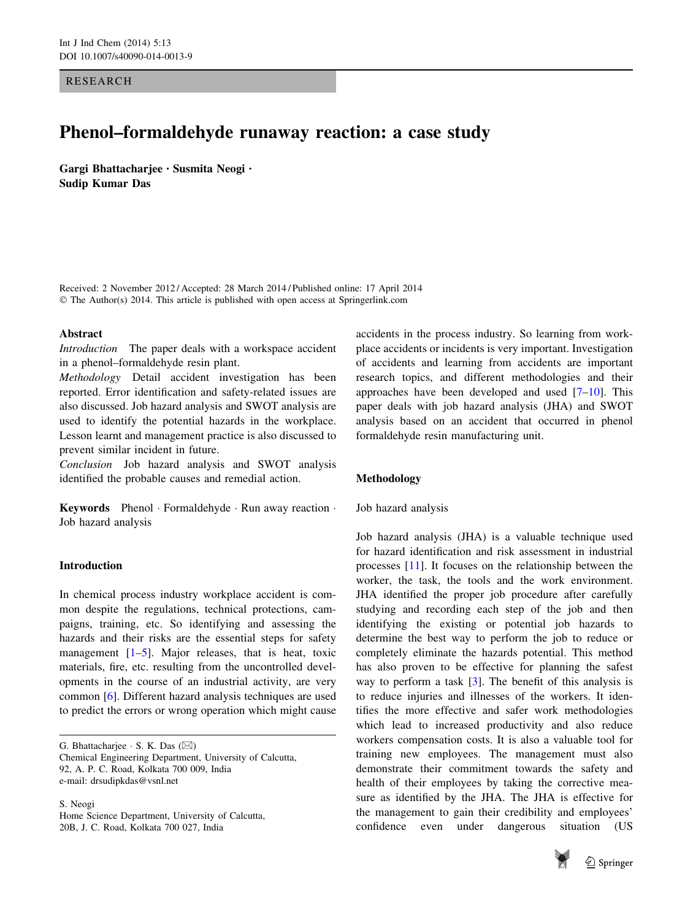RESEARCH

# Phenol–formaldehyde runaway reaction: a case study

Gargi Bhattacharjee • Susmita Neogi • Sudip Kumar Das

Received: 2 November 2012 / Accepted: 28 March 2014 / Published online: 17 April 2014 © The Author(s) 2014. This article is published with open access at Springerlink.com

#### Abstract

Introduction The paper deals with a workspace accident in a phenol–formaldehyde resin plant.

Methodology Detail accident investigation has been reported. Error identification and safety-related issues are also discussed. Job hazard analysis and SWOT analysis are used to identify the potential hazards in the workplace. Lesson learnt and management practice is also discussed to prevent similar incident in future.

Conclusion Job hazard analysis and SWOT analysis identified the probable causes and remedial action.

Keywords Phenol · Formaldehyde · Run away reaction · Job hazard analysis

# Introduction

In chemical process industry workplace accident is common despite the regulations, technical protections, campaigns, training, etc. So identifying and assessing the hazards and their risks are the essential steps for safety management  $[1-5]$ . Major releases, that is heat, toxic materials, fire, etc. resulting from the uncontrolled developments in the course of an industrial activity, are very common [\[6](#page-5-0)]. Different hazard analysis techniques are used to predict the errors or wrong operation which might cause

G. Bhattacharjee  $\cdot$  S. K. Das  $(\boxtimes)$ 

Chemical Engineering Department, University of Calcutta, 92, A. P. C. Road, Kolkata 700 009, India e-mail: drsudipkdas@vsnl.net

S. Neogi

Home Science Department, University of Calcutta, 20B, J. C. Road, Kolkata 700 027, India

accidents in the process industry. So learning from workplace accidents or incidents is very important. Investigation of accidents and learning from accidents are important research topics, and different methodologies and their approaches have been developed and used  $[7-10]$ . This paper deals with job hazard analysis (JHA) and SWOT analysis based on an accident that occurred in phenol formaldehyde resin manufacturing unit.

## Methodology

#### Job hazard analysis

Job hazard analysis (JHA) is a valuable technique used for hazard identification and risk assessment in industrial processes [\[11](#page-5-0)]. It focuses on the relationship between the worker, the task, the tools and the work environment. JHA identified the proper job procedure after carefully studying and recording each step of the job and then identifying the existing or potential job hazards to determine the best way to perform the job to reduce or completely eliminate the hazards potential. This method has also proven to be effective for planning the safest way to perform a task [[3\]](#page-5-0). The benefit of this analysis is to reduce injuries and illnesses of the workers. It identifies the more effective and safer work methodologies which lead to increased productivity and also reduce workers compensation costs. It is also a valuable tool for training new employees. The management must also demonstrate their commitment towards the safety and health of their employees by taking the corrective measure as identified by the JHA. The JHA is effective for the management to gain their credibility and employees' confidence even under dangerous situation (US

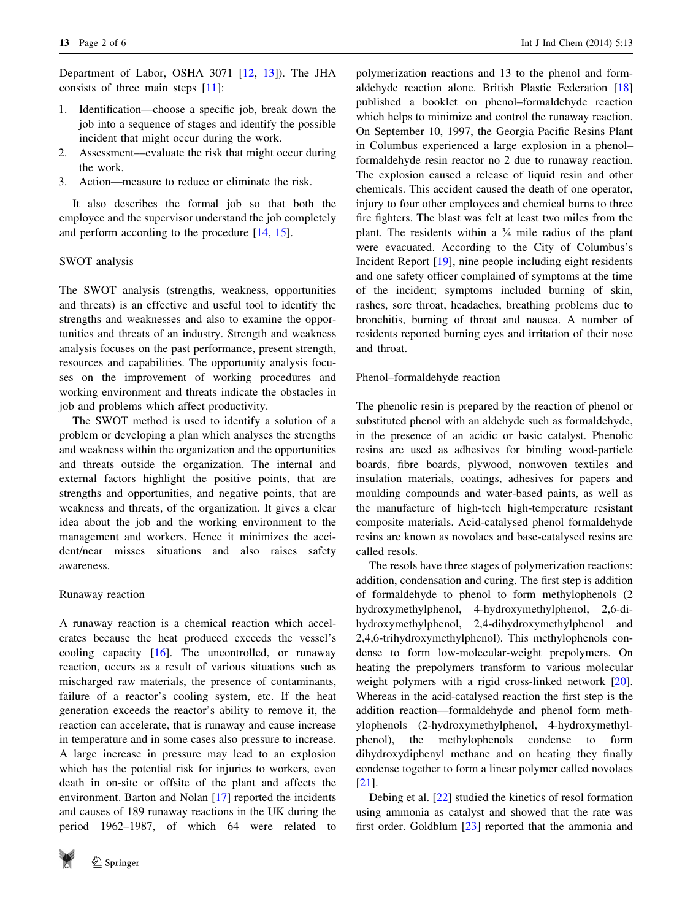Department of Labor, OSHA 3071 [[12,](#page-5-0) [13](#page-5-0)]). The JHA consists of three main steps [[11\]](#page-5-0):

- 1. Identification––choose a specific job, break down the job into a sequence of stages and identify the possible incident that might occur during the work.
- 2. Assessment––evaluate the risk that might occur during the work.
- 3. Action––measure to reduce or eliminate the risk.

It also describes the formal job so that both the employee and the supervisor understand the job completely and perform according to the procedure [[14,](#page-5-0) [15](#page-5-0)].

#### SWOT analysis

The SWOT analysis (strengths, weakness, opportunities and threats) is an effective and useful tool to identify the strengths and weaknesses and also to examine the opportunities and threats of an industry. Strength and weakness analysis focuses on the past performance, present strength, resources and capabilities. The opportunity analysis focuses on the improvement of working procedures and working environment and threats indicate the obstacles in job and problems which affect productivity.

The SWOT method is used to identify a solution of a problem or developing a plan which analyses the strengths and weakness within the organization and the opportunities and threats outside the organization. The internal and external factors highlight the positive points, that are strengths and opportunities, and negative points, that are weakness and threats, of the organization. It gives a clear idea about the job and the working environment to the management and workers. Hence it minimizes the accident/near misses situations and also raises safety awareness.

## Runaway reaction

A runaway reaction is a chemical reaction which accelerates because the heat produced exceeds the vessel's cooling capacity [[16\]](#page-5-0). The uncontrolled, or runaway reaction, occurs as a result of various situations such as mischarged raw materials, the presence of contaminants, failure of a reactor's cooling system, etc. If the heat generation exceeds the reactor's ability to remove it, the reaction can accelerate, that is runaway and cause increase in temperature and in some cases also pressure to increase. A large increase in pressure may lead to an explosion which has the potential risk for injuries to workers, even death in on-site or offsite of the plant and affects the environment. Barton and Nolan [\[17](#page-5-0)] reported the incidents and causes of 189 runaway reactions in the UK during the period 1962–1987, of which 64 were related to



polymerization reactions and 13 to the phenol and formaldehyde reaction alone. British Plastic Federation [[18\]](#page-5-0) published a booklet on phenol–formaldehyde reaction which helps to minimize and control the runaway reaction. On September 10, 1997, the Georgia Pacific Resins Plant in Columbus experienced a large explosion in a phenol– formaldehyde resin reactor no 2 due to runaway reaction. The explosion caused a release of liquid resin and other chemicals. This accident caused the death of one operator, injury to four other employees and chemical burns to three fire fighters. The blast was felt at least two miles from the plant. The residents within a  $\frac{3}{4}$  mile radius of the plant were evacuated. According to the City of Columbus's Incident Report [[19\]](#page-5-0), nine people including eight residents and one safety officer complained of symptoms at the time of the incident; symptoms included burning of skin, rashes, sore throat, headaches, breathing problems due to bronchitis, burning of throat and nausea. A number of residents reported burning eyes and irritation of their nose and throat.

## Phenol–formaldehyde reaction

The phenolic resin is prepared by the reaction of phenol or substituted phenol with an aldehyde such as formaldehyde, in the presence of an acidic or basic catalyst. Phenolic resins are used as adhesives for binding wood-particle boards, fibre boards, plywood, nonwoven textiles and insulation materials, coatings, adhesives for papers and moulding compounds and water-based paints, as well as the manufacture of high-tech high-temperature resistant composite materials. Acid-catalysed phenol formaldehyde resins are known as novolacs and base-catalysed resins are called resols.

The resols have three stages of polymerization reactions: addition, condensation and curing. The first step is addition of formaldehyde to phenol to form methylophenols (2 hydroxymethylphenol, 4-hydroxymethylphenol, 2,6-dihydroxymethylphenol, 2,4-dihydroxymethylphenol and 2,4,6-trihydroxymethylphenol). This methylophenols condense to form low-molecular-weight prepolymers. On heating the prepolymers transform to various molecular weight polymers with a rigid cross-linked network [\[20](#page-5-0)]. Whereas in the acid-catalysed reaction the first step is the addition reaction––formaldehyde and phenol form methylophenols (2-hydroxymethylphenol, 4-hydroxymethylphenol), the methylophenols condense to form dihydroxydiphenyl methane and on heating they finally condense together to form a linear polymer called novolacs [\[21](#page-5-0)].

Debing et al. [\[22](#page-5-0)] studied the kinetics of resol formation using ammonia as catalyst and showed that the rate was first order. Goldblum [\[23](#page-5-0)] reported that the ammonia and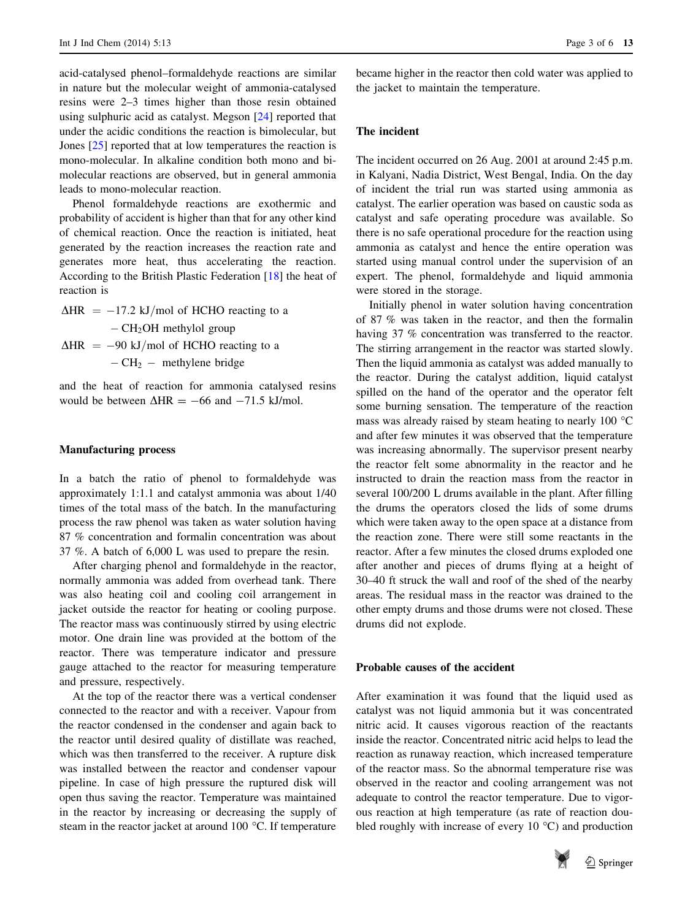acid-catalysed phenol–formaldehyde reactions are similar in nature but the molecular weight of ammonia-catalysed resins were 2–3 times higher than those resin obtained using sulphuric acid as catalyst. Megson [\[24](#page-5-0)] reported that under the acidic conditions the reaction is bimolecular, but Jones [\[25](#page-5-0)] reported that at low temperatures the reaction is mono-molecular. In alkaline condition both mono and bimolecular reactions are observed, but in general ammonia leads to mono-molecular reaction.

Phenol formaldehyde reactions are exothermic and probability of accident is higher than that for any other kind of chemical reaction. Once the reaction is initiated, heat generated by the reaction increases the reaction rate and generates more heat, thus accelerating the reaction. According to the British Plastic Federation [\[18](#page-5-0)] the heat of reaction is

 $\Delta HR$  = -17.2 kJ/mol of HCHO reacting to a  $-CH<sub>2</sub>OH$  methylol group  $\Delta HR$  = -90 kJ/mol of HCHO reacting to a  $-CH<sub>2</sub>$  – methylene bridge

and the heat of reaction for ammonia catalysed resins would be between  $\Delta HR = -66$  and  $-71.5$  kJ/mol.

## Manufacturing process

In a batch the ratio of phenol to formaldehyde was approximately 1:1.1 and catalyst ammonia was about 1/40 times of the total mass of the batch. In the manufacturing process the raw phenol was taken as water solution having 87 % concentration and formalin concentration was about 37 %. A batch of 6,000 L was used to prepare the resin.

After charging phenol and formaldehyde in the reactor, normally ammonia was added from overhead tank. There was also heating coil and cooling coil arrangement in jacket outside the reactor for heating or cooling purpose. The reactor mass was continuously stirred by using electric motor. One drain line was provided at the bottom of the reactor. There was temperature indicator and pressure gauge attached to the reactor for measuring temperature and pressure, respectively.

At the top of the reactor there was a vertical condenser connected to the reactor and with a receiver. Vapour from the reactor condensed in the condenser and again back to the reactor until desired quality of distillate was reached, which was then transferred to the receiver. A rupture disk was installed between the reactor and condenser vapour pipeline. In case of high pressure the ruptured disk will open thus saving the reactor. Temperature was maintained in the reactor by increasing or decreasing the supply of steam in the reactor jacket at around  $100^{\circ}$ C. If temperature became higher in the reactor then cold water was applied to the jacket to maintain the temperature.

## The incident

The incident occurred on 26 Aug. 2001 at around 2:45 p.m. in Kalyani, Nadia District, West Bengal, India. On the day of incident the trial run was started using ammonia as catalyst. The earlier operation was based on caustic soda as catalyst and safe operating procedure was available. So there is no safe operational procedure for the reaction using ammonia as catalyst and hence the entire operation was started using manual control under the supervision of an expert. The phenol, formaldehyde and liquid ammonia were stored in the storage.

Initially phenol in water solution having concentration of 87 % was taken in the reactor, and then the formalin having 37 % concentration was transferred to the reactor. The stirring arrangement in the reactor was started slowly. Then the liquid ammonia as catalyst was added manually to the reactor. During the catalyst addition, liquid catalyst spilled on the hand of the operator and the operator felt some burning sensation. The temperature of the reaction mass was already raised by steam heating to nearly 100 $\degree$ C and after few minutes it was observed that the temperature was increasing abnormally. The supervisor present nearby the reactor felt some abnormality in the reactor and he instructed to drain the reaction mass from the reactor in several 100/200 L drums available in the plant. After filling the drums the operators closed the lids of some drums which were taken away to the open space at a distance from the reaction zone. There were still some reactants in the reactor. After a few minutes the closed drums exploded one after another and pieces of drums flying at a height of 30–40 ft struck the wall and roof of the shed of the nearby areas. The residual mass in the reactor was drained to the other empty drums and those drums were not closed. These drums did not explode.

# Probable causes of the accident

After examination it was found that the liquid used as catalyst was not liquid ammonia but it was concentrated nitric acid. It causes vigorous reaction of the reactants inside the reactor. Concentrated nitric acid helps to lead the reaction as runaway reaction, which increased temperature of the reactor mass. So the abnormal temperature rise was observed in the reactor and cooling arrangement was not adequate to control the reactor temperature. Due to vigorous reaction at high temperature (as rate of reaction doubled roughly with increase of every 10  $^{\circ}$ C) and production

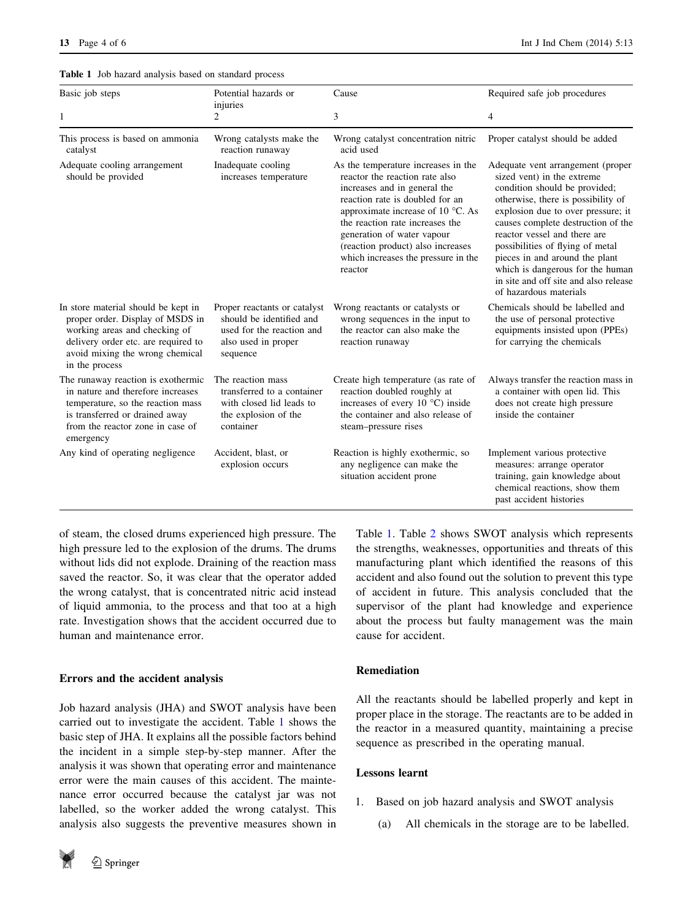|  |  |  | Table 1 Job hazard analysis based on standard process |  |
|--|--|--|-------------------------------------------------------|--|
|  |  |  |                                                       |  |

| Basic job steps                                                                                                                                                                                      | Potential hazards or<br>injuries                                                                                         | Cause                                                                                                                                                                                                                                                                                                                                           | Required safe job procedures<br>4                                                                                                                                                                                                                                                                                                                                                                                               |  |
|------------------------------------------------------------------------------------------------------------------------------------------------------------------------------------------------------|--------------------------------------------------------------------------------------------------------------------------|-------------------------------------------------------------------------------------------------------------------------------------------------------------------------------------------------------------------------------------------------------------------------------------------------------------------------------------------------|---------------------------------------------------------------------------------------------------------------------------------------------------------------------------------------------------------------------------------------------------------------------------------------------------------------------------------------------------------------------------------------------------------------------------------|--|
| 1                                                                                                                                                                                                    | 2                                                                                                                        | 3                                                                                                                                                                                                                                                                                                                                               |                                                                                                                                                                                                                                                                                                                                                                                                                                 |  |
| This process is based on ammonia<br>catalyst                                                                                                                                                         | Wrong catalysts make the<br>reaction runaway                                                                             | Wrong catalyst concentration nitric<br>acid used                                                                                                                                                                                                                                                                                                | Proper catalyst should be added                                                                                                                                                                                                                                                                                                                                                                                                 |  |
| Adequate cooling arrangement<br>should be provided                                                                                                                                                   | Inadequate cooling<br>increases temperature                                                                              | As the temperature increases in the<br>reactor the reaction rate also<br>increases and in general the<br>reaction rate is doubled for an<br>approximate increase of 10 $^{\circ}$ C. As<br>the reaction rate increases the<br>generation of water vapour<br>(reaction product) also increases<br>which increases the pressure in the<br>reactor | Adequate vent arrangement (proper<br>sized vent) in the extreme<br>condition should be provided;<br>otherwise, there is possibility of<br>explosion due to over pressure; it<br>causes complete destruction of the<br>reactor vessel and there are<br>possibilities of flying of metal<br>pieces in and around the plant<br>which is dangerous for the human<br>in site and off site and also release<br>of hazardous materials |  |
| In store material should be kept in<br>proper order. Display of MSDS in<br>working areas and checking of<br>delivery order etc. are required to<br>avoid mixing the wrong chemical<br>in the process | Proper reactants or catalyst<br>should be identified and<br>used for the reaction and<br>also used in proper<br>sequence | Wrong reactants or catalysts or<br>wrong sequences in the input to<br>the reactor can also make the<br>reaction runaway                                                                                                                                                                                                                         | Chemicals should be labelled and<br>the use of personal protective<br>equipments insisted upon (PPEs)<br>for carrying the chemicals                                                                                                                                                                                                                                                                                             |  |
| The runaway reaction is exothermic<br>in nature and therefore increases<br>temperature, so the reaction mass<br>is transferred or drained away<br>from the reactor zone in case of<br>emergency      | The reaction mass<br>transferred to a container<br>with closed lid leads to<br>the explosion of the<br>container         | Create high temperature (as rate of<br>reaction doubled roughly at<br>increases of every 10 $^{\circ}$ C) inside<br>the container and also release of<br>steam-pressure rises                                                                                                                                                                   | Always transfer the reaction mass in<br>a container with open lid. This<br>does not create high pressure<br>inside the container                                                                                                                                                                                                                                                                                                |  |
| Any kind of operating negligence                                                                                                                                                                     | Accident, blast, or<br>explosion occurs                                                                                  | Reaction is highly exothermic, so<br>any negligence can make the<br>situation accident prone                                                                                                                                                                                                                                                    | Implement various protective<br>measures: arrange operator<br>training, gain knowledge about<br>chemical reactions, show them<br>past accident histories                                                                                                                                                                                                                                                                        |  |

of steam, the closed drums experienced high pressure. The high pressure led to the explosion of the drums. The drums without lids did not explode. Draining of the reaction mass saved the reactor. So, it was clear that the operator added the wrong catalyst, that is concentrated nitric acid instead of liquid ammonia, to the process and that too at a high rate. Investigation shows that the accident occurred due to human and maintenance error.

## Errors and the accident analysis

Job hazard analysis (JHA) and SWOT analysis have been carried out to investigate the accident. Table 1 shows the basic step of JHA. It explains all the possible factors behind the incident in a simple step-by-step manner. After the analysis it was shown that operating error and maintenance error were the main causes of this accident. The maintenance error occurred because the catalyst jar was not labelled, so the worker added the wrong catalyst. This analysis also suggests the preventive measures shown in

 $\hat{D}$  Springer

Table 1. Table [2](#page-4-0) shows SWOT analysis which represents the strengths, weaknesses, opportunities and threats of this manufacturing plant which identified the reasons of this accident and also found out the solution to prevent this type of accident in future. This analysis concluded that the supervisor of the plant had knowledge and experience about the process but faulty management was the main cause for accident.

# Remediation

All the reactants should be labelled properly and kept in proper place in the storage. The reactants are to be added in the reactor in a measured quantity, maintaining a precise sequence as prescribed in the operating manual.

# Lessons learnt

- 1. Based on job hazard analysis and SWOT analysis
	- (a) All chemicals in the storage are to be labelled.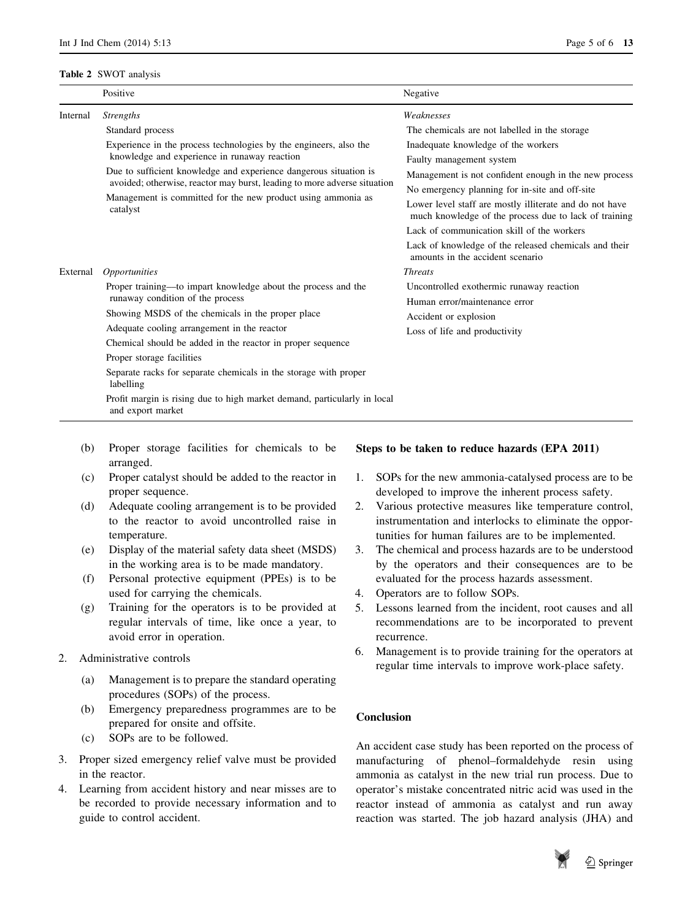#### <span id="page-4-0"></span>Table 2 SWOT analysis

|          | Positive                                                                                                                                                                                                                                                                                                                                                                                                                                                                           | Negative                                                                                                                                                                                                                                                                               |  |  |
|----------|------------------------------------------------------------------------------------------------------------------------------------------------------------------------------------------------------------------------------------------------------------------------------------------------------------------------------------------------------------------------------------------------------------------------------------------------------------------------------------|----------------------------------------------------------------------------------------------------------------------------------------------------------------------------------------------------------------------------------------------------------------------------------------|--|--|
| Internal | <b>Strengths</b>                                                                                                                                                                                                                                                                                                                                                                                                                                                                   | Weaknesses                                                                                                                                                                                                                                                                             |  |  |
|          | Standard process                                                                                                                                                                                                                                                                                                                                                                                                                                                                   | The chemicals are not labelled in the storage<br>Inadequate knowledge of the workers<br>Faulty management system<br>Management is not confident enough in the new process<br>No emergency planning for in-site and off-site<br>Lower level staff are mostly illiterate and do not have |  |  |
|          | Experience in the process technologies by the engineers, also the<br>knowledge and experience in runaway reaction<br>Due to sufficient knowledge and experience dangerous situation is<br>avoided; otherwise, reactor may burst, leading to more adverse situation<br>Management is committed for the new product using ammonia as<br>catalyst                                                                                                                                     |                                                                                                                                                                                                                                                                                        |  |  |
|          |                                                                                                                                                                                                                                                                                                                                                                                                                                                                                    | much knowledge of the process due to lack of training<br>Lack of communication skill of the workers<br>Lack of knowledge of the released chemicals and their<br>amounts in the accident scenario                                                                                       |  |  |
| External | <i><b>Opportunities</b></i>                                                                                                                                                                                                                                                                                                                                                                                                                                                        | <b>Threats</b>                                                                                                                                                                                                                                                                         |  |  |
|          | Proper training—to impart knowledge about the process and the<br>runaway condition of the process<br>Showing MSDS of the chemicals in the proper place<br>Adequate cooling arrangement in the reactor<br>Chemical should be added in the reactor in proper sequence<br>Proper storage facilities<br>Separate racks for separate chemicals in the storage with proper<br>labelling<br>Profit margin is rising due to high market demand, particularly in local<br>and export market | Uncontrolled exothermic runaway reaction<br>Human error/maintenance error<br>Accident or explosion<br>Loss of life and productivity                                                                                                                                                    |  |  |

- (b) Proper storage facilities for chemicals to be arranged.
- (c) Proper catalyst should be added to the reactor in proper sequence.
- (d) Adequate cooling arrangement is to be provided to the reactor to avoid uncontrolled raise in temperature.
- (e) Display of the material safety data sheet (MSDS) in the working area is to be made mandatory.
- (f) Personal protective equipment (PPEs) is to be used for carrying the chemicals.
- (g) Training for the operators is to be provided at regular intervals of time, like once a year, to avoid error in operation.
- 2. Administrative controls
	- (a) Management is to prepare the standard operating procedures (SOPs) of the process.
	- (b) Emergency preparedness programmes are to be prepared for onsite and offsite.
	- (c) SOPs are to be followed.
- 3. Proper sized emergency relief valve must be provided in the reactor.
- 4. Learning from accident history and near misses are to be recorded to provide necessary information and to guide to control accident.

## Steps to be taken to reduce hazards (EPA 2011)

- 1. SOPs for the new ammonia-catalysed process are to be developed to improve the inherent process safety.
- 2. Various protective measures like temperature control, instrumentation and interlocks to eliminate the opportunities for human failures are to be implemented.
- 3. The chemical and process hazards are to be understood by the operators and their consequences are to be evaluated for the process hazards assessment.
- 4. Operators are to follow SOPs.
- 5. Lessons learned from the incident, root causes and all recommendations are to be incorporated to prevent recurrence.
- 6. Management is to provide training for the operators at regular time intervals to improve work-place safety.

# Conclusion

An accident case study has been reported on the process of manufacturing of phenol–formaldehyde resin using ammonia as catalyst in the new trial run process. Due to operator's mistake concentrated nitric acid was used in the reactor instead of ammonia as catalyst and run away reaction was started. The job hazard analysis (JHA) and